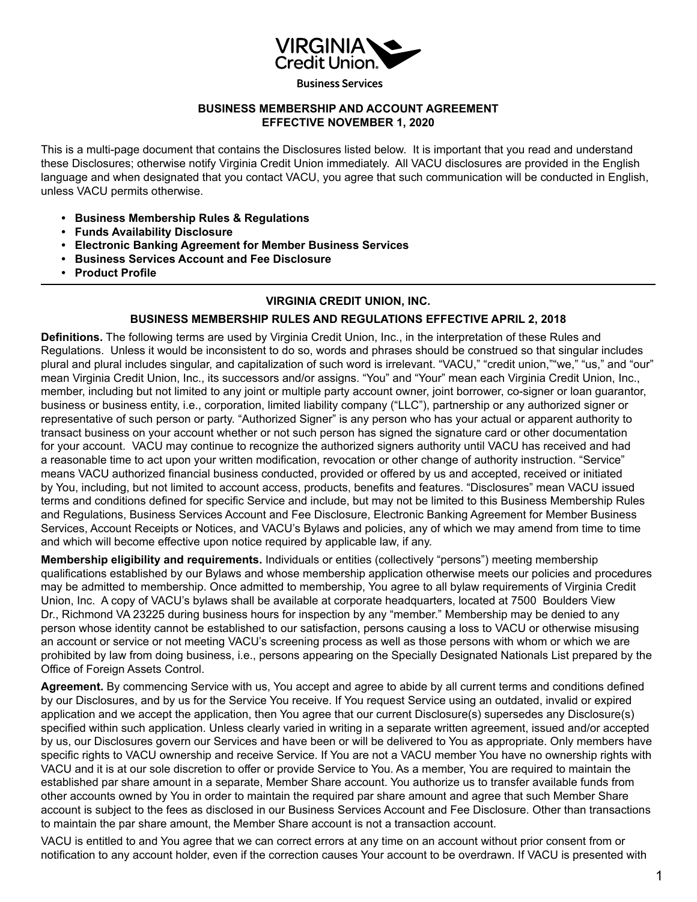

**Business Services** 

# **BUSINESS MEMBERSHIP AND ACCOUNT AGREEMENT EFFECTIVE NOVEMBER 1, 2020**

This is a multi-page document that contains the Disclosures listed below. It is important that you read and understand these Disclosures; otherwise notify Virginia Credit Union immediately. All VACU disclosures are provided in the English language and when designated that you contact VACU, you agree that such communication will be conducted in English, unless VACU permits otherwise.

- **Business Membership Rules & Regulations**
- **Funds Availability Disclosure**
- **Electronic Banking Agreement for Member Business Services**
- **Business Services Account and Fee Disclosure**
- **Product Profile**

# **VIRGINIA CREDIT UNION, INC.**

# **BUSINESS MEMBERSHIP RULES AND REGULATIONS EFFECTIVE APRIL 2, 2018**

**Definitions.** The following terms are used by Virginia Credit Union, Inc., in the interpretation of these Rules and Regulations. Unless it would be inconsistent to do so, words and phrases should be construed so that singular includes plural and plural includes singular, and capitalization of such word is irrelevant. "VACU," "credit union,""we," "us," and "our" mean Virginia Credit Union, Inc., its successors and/or assigns. "You" and "Your" mean each Virginia Credit Union, Inc., member, including but not limited to any joint or multiple party account owner, joint borrower, co-signer or loan guarantor, business or business entity, i.e., corporation, limited liability company ("LLC"), partnership or any authorized signer or representative of such person or party. "Authorized Signer" is any person who has your actual or apparent authority to transact business on your account whether or not such person has signed the signature card or other documentation for your account. VACU may continue to recognize the authorized signers authority until VACU has received and had a reasonable time to act upon your written modification, revocation or other change of authority instruction. "Service" means VACU authorized financial business conducted, provided or offered by us and accepted, received or initiated by You, including, but not limited to account access, products, benefits and features. "Disclosures" mean VACU issued terms and conditions defined for specific Service and include, but may not be limited to this Business Membership Rules and Regulations, Business Services Account and Fee Disclosure, Electronic Banking Agreement for Member Business Services, Account Receipts or Notices, and VACU's Bylaws and policies, any of which we may amend from time to time and which will become effective upon notice required by applicable law, if any.

**Membership eligibility and requirements.** Individuals or entities (collectively "persons") meeting membership qualifications established by our Bylaws and whose membership application otherwise meets our policies and procedures may be admitted to membership. Once admitted to membership, You agree to all bylaw requirements of Virginia Credit Union, Inc. A copy of VACU's bylaws shall be available at corporate headquarters, located at 7500 Boulders View Dr., Richmond VA 23225 during business hours for inspection by any "member." Membership may be denied to any person whose identity cannot be established to our satisfaction, persons causing a loss to VACU or otherwise misusing an account or service or not meeting VACU's screening process as well as those persons with whom or which we are prohibited by law from doing business, i.e., persons appearing on the Specially Designated Nationals List prepared by the Office of Foreign Assets Control.

**Agreement.** By commencing Service with us, You accept and agree to abide by all current terms and conditions defined by our Disclosures, and by us for the Service You receive. If You request Service using an outdated, invalid or expired application and we accept the application, then You agree that our current Disclosure(s) supersedes any Disclosure(s) specified within such application. Unless clearly varied in writing in a separate written agreement, issued and/or accepted by us, our Disclosures govern our Services and have been or will be delivered to You as appropriate. Only members have specific rights to VACU ownership and receive Service. If You are not a VACU member You have no ownership rights with VACU and it is at our sole discretion to offer or provide Service to You. As a member, You are required to maintain the established par share amount in a separate, Member Share account. You authorize us to transfer available funds from other accounts owned by You in order to maintain the required par share amount and agree that such Member Share account is subject to the fees as disclosed in our Business Services Account and Fee Disclosure. Other than transactions to maintain the par share amount, the Member Share account is not a transaction account.

VACU is entitled to and You agree that we can correct errors at any time on an account without prior consent from or notification to any account holder, even if the correction causes Your account to be overdrawn. If VACU is presented with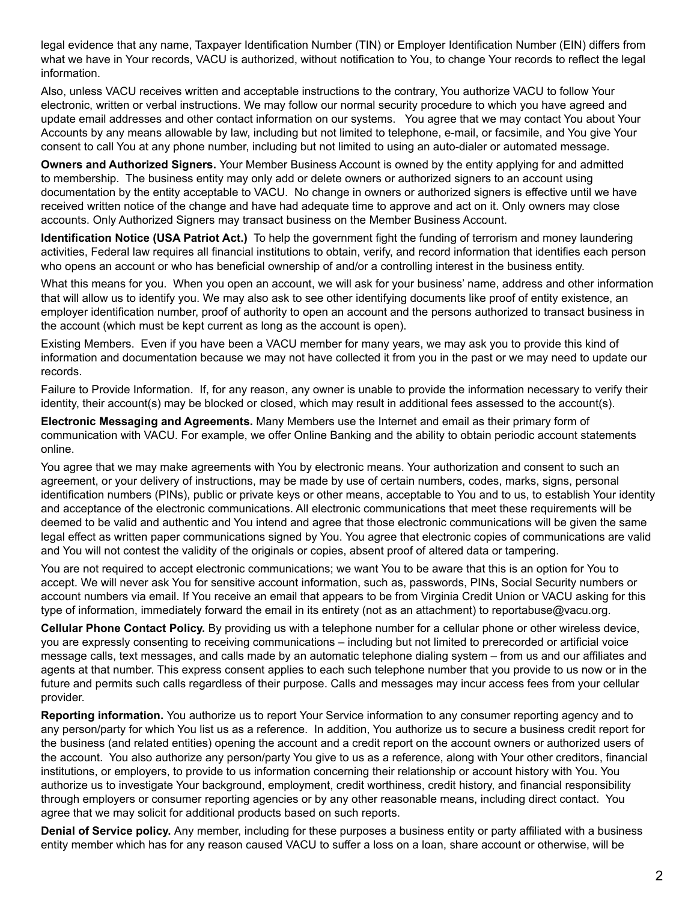legal evidence that any name, Taxpayer Identification Number (TIN) or Employer Identification Number (EIN) differs from what we have in Your records, VACU is authorized, without notification to You, to change Your records to reflect the legal information.

Also, unless VACU receives written and acceptable instructions to the contrary, You authorize VACU to follow Your electronic, written or verbal instructions. We may follow our normal security procedure to which you have agreed and update email addresses and other contact information on our systems. You agree that we may contact You about Your Accounts by any means allowable by law, including but not limited to telephone, e-mail, or facsimile, and You give Your consent to call You at any phone number, including but not limited to using an auto-dialer or automated message.

**Owners and Authorized Signers.** Your Member Business Account is owned by the entity applying for and admitted to membership. The business entity may only add or delete owners or authorized signers to an account using documentation by the entity acceptable to VACU. No change in owners or authorized signers is effective until we have received written notice of the change and have had adequate time to approve and act on it. Only owners may close accounts. Only Authorized Signers may transact business on the Member Business Account.

**Identification Notice (USA Patriot Act.)** To help the government fight the funding of terrorism and money laundering activities, Federal law requires all financial institutions to obtain, verify, and record information that identifies each person who opens an account or who has beneficial ownership of and/or a controlling interest in the business entity.

What this means for you. When you open an account, we will ask for your business' name, address and other information that will allow us to identify you. We may also ask to see other identifying documents like proof of entity existence, an employer identification number, proof of authority to open an account and the persons authorized to transact business in the account (which must be kept current as long as the account is open).

Existing Members. Even if you have been a VACU member for many years, we may ask you to provide this kind of information and documentation because we may not have collected it from you in the past or we may need to update our records.

Failure to Provide Information. If, for any reason, any owner is unable to provide the information necessary to verify their identity, their account(s) may be blocked or closed, which may result in additional fees assessed to the account(s).

**Electronic Messaging and Agreements.** Many Members use the Internet and email as their primary form of communication with VACU. For example, we offer Online Banking and the ability to obtain periodic account statements online.

You agree that we may make agreements with You by electronic means. Your authorization and consent to such an agreement, or your delivery of instructions, may be made by use of certain numbers, codes, marks, signs, personal identification numbers (PINs), public or private keys or other means, acceptable to You and to us, to establish Your identity and acceptance of the electronic communications. All electronic communications that meet these requirements will be deemed to be valid and authentic and You intend and agree that those electronic communications will be given the same legal effect as written paper communications signed by You. You agree that electronic copies of communications are valid and You will not contest the validity of the originals or copies, absent proof of altered data or tampering.

You are not required to accept electronic communications; we want You to be aware that this is an option for You to accept. We will never ask You for sensitive account information, such as, passwords, PINs, Social Security numbers or account numbers via email. If You receive an email that appears to be from Virginia Credit Union or VACU asking for this type of information, immediately forward the email in its entirety (not as an attachment) to reportabuse@vacu.org.

**Cellular Phone Contact Policy.** By providing us with a telephone number for a cellular phone or other wireless device, you are expressly consenting to receiving communications – including but not limited to prerecorded or artificial voice message calls, text messages, and calls made by an automatic telephone dialing system – from us and our affiliates and agents at that number. This express consent applies to each such telephone number that you provide to us now or in the future and permits such calls regardless of their purpose. Calls and messages may incur access fees from your cellular provider.

**Reporting information.** You authorize us to report Your Service information to any consumer reporting agency and to any person/party for which You list us as a reference. In addition, You authorize us to secure a business credit report for the business (and related entities) opening the account and a credit report on the account owners or authorized users of the account. You also authorize any person/party You give to us as a reference, along with Your other creditors, financial institutions, or employers, to provide to us information concerning their relationship or account history with You. You authorize us to investigate Your background, employment, credit worthiness, credit history, and financial responsibility through employers or consumer reporting agencies or by any other reasonable means, including direct contact. You agree that we may solicit for additional products based on such reports.

**Denial of Service policy.** Any member, including for these purposes a business entity or party affiliated with a business entity member which has for any reason caused VACU to suffer a loss on a loan, share account or otherwise, will be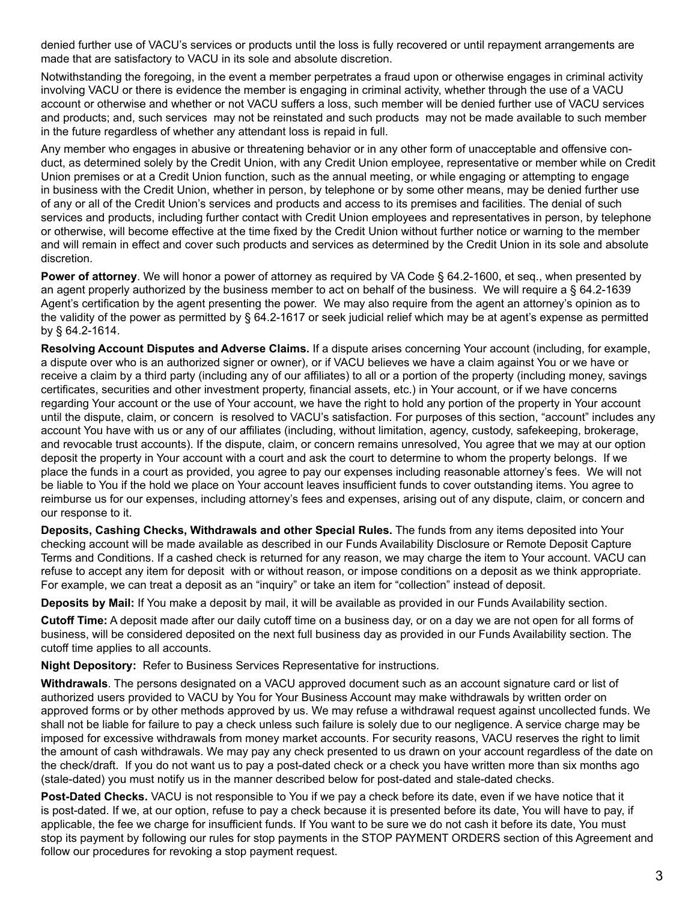denied further use of VACU's services or products until the loss is fully recovered or until repayment arrangements are made that are satisfactory to VACU in its sole and absolute discretion.

Notwithstanding the foregoing, in the event a member perpetrates a fraud upon or otherwise engages in criminal activity involving VACU or there is evidence the member is engaging in criminal activity, whether through the use of a VACU account or otherwise and whether or not VACU suffers a loss, such member will be denied further use of VACU services and products; and, such services may not be reinstated and such products may not be made available to such member in the future regardless of whether any attendant loss is repaid in full.

Any member who engages in abusive or threatening behavior or in any other form of unacceptable and offensive conduct, as determined solely by the Credit Union, with any Credit Union employee, representative or member while on Credit Union premises or at a Credit Union function, such as the annual meeting, or while engaging or attempting to engage in business with the Credit Union, whether in person, by telephone or by some other means, may be denied further use of any or all of the Credit Union's services and products and access to its premises and facilities. The denial of such services and products, including further contact with Credit Union employees and representatives in person, by telephone or otherwise, will become effective at the time fixed by the Credit Union without further notice or warning to the member and will remain in effect and cover such products and services as determined by the Credit Union in its sole and absolute discretion.

**Power of attorney**. We will honor a power of attorney as required by VA Code § 64.2-1600, et seq., when presented by an agent properly authorized by the business member to act on behalf of the business. We will require a § 64.2-1639 Agent's certification by the agent presenting the power. We may also require from the agent an attorney's opinion as to the validity of the power as permitted by § 64.2-1617 or seek judicial relief which may be at agent's expense as permitted by § 64.2-1614.

**Resolving Account Disputes and Adverse Claims.** If a dispute arises concerning Your account (including, for example, a dispute over who is an authorized signer or owner), or if VACU believes we have a claim against You or we have or receive a claim by a third party (including any of our affiliates) to all or a portion of the property (including money, savings certificates, securities and other investment property, financial assets, etc.) in Your account, or if we have concerns regarding Your account or the use of Your account, we have the right to hold any portion of the property in Your account until the dispute, claim, or concern is resolved to VACU's satisfaction. For purposes of this section, "account" includes any account You have with us or any of our affiliates (including, without limitation, agency, custody, safekeeping, brokerage, and revocable trust accounts). If the dispute, claim, or concern remains unresolved, You agree that we may at our option deposit the property in Your account with a court and ask the court to determine to whom the property belongs. If we place the funds in a court as provided, you agree to pay our expenses including reasonable attorney's fees. We will not be liable to You if the hold we place on Your account leaves insufficient funds to cover outstanding items. You agree to reimburse us for our expenses, including attorney's fees and expenses, arising out of any dispute, claim, or concern and our response to it.

**Deposits, Cashing Checks, Withdrawals and other Special Rules.** The funds from any items deposited into Your checking account will be made available as described in our Funds Availability Disclosure or Remote Deposit Capture Terms and Conditions. If a cashed check is returned for any reason, we may charge the item to Your account. VACU can refuse to accept any item for deposit with or without reason, or impose conditions on a deposit as we think appropriate. For example, we can treat a deposit as an "inquiry" or take an item for "collection" instead of deposit.

**Deposits by Mail:** If You make a deposit by mail, it will be available as provided in our Funds Availability section.

**Cutoff Time:** A deposit made after our daily cutoff time on a business day, or on a day we are not open for all forms of business, will be considered deposited on the next full business day as provided in our Funds Availability section. The cutoff time applies to all accounts.

**Night Depository:** Refer to Business Services Representative for instructions.

**Withdrawals**. The persons designated on a VACU approved document such as an account signature card or list of authorized users provided to VACU by You for Your Business Account may make withdrawals by written order on approved forms or by other methods approved by us. We may refuse a withdrawal request against uncollected funds. We shall not be liable for failure to pay a check unless such failure is solely due to our negligence. A service charge may be imposed for excessive withdrawals from money market accounts. For security reasons, VACU reserves the right to limit the amount of cash withdrawals. We may pay any check presented to us drawn on your account regardless of the date on the check/draft. If you do not want us to pay a post-dated check or a check you have written more than six months ago (stale-dated) you must notify us in the manner described below for post-dated and stale-dated checks.

**Post-Dated Checks.** VACU is not responsible to You if we pay a check before its date, even if we have notice that it is post-dated. If we, at our option, refuse to pay a check because it is presented before its date, You will have to pay, if applicable, the fee we charge for insufficient funds. If You want to be sure we do not cash it before its date, You must stop its payment by following our rules for stop payments in the STOP PAYMENT ORDERS section of this Agreement and follow our procedures for revoking a stop payment request.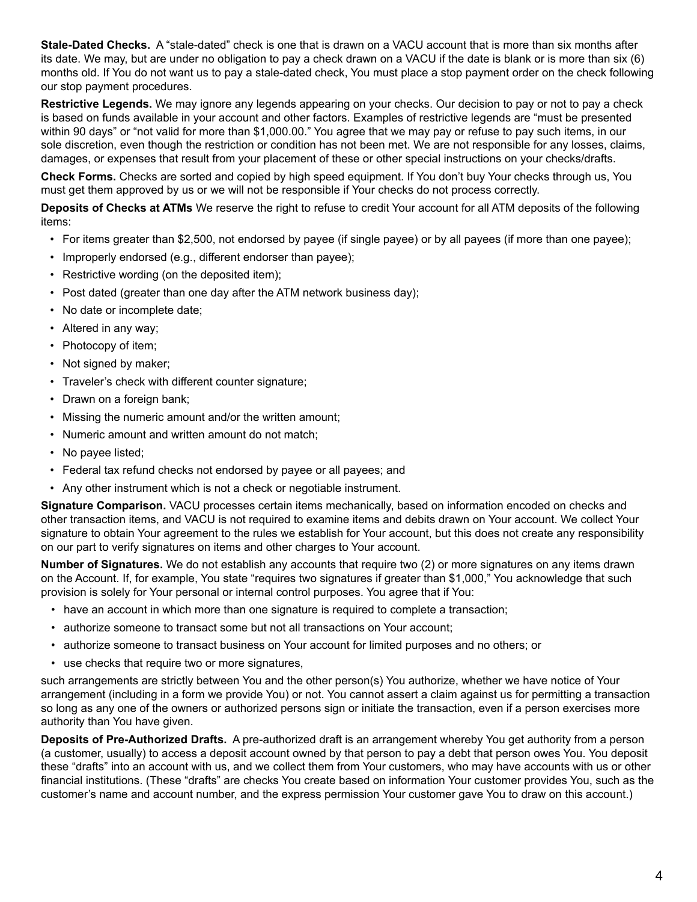**Stale-Dated Checks.** A "stale-dated" check is one that is drawn on a VACU account that is more than six months after its date. We may, but are under no obligation to pay a check drawn on a VACU if the date is blank or is more than six (6) months old. If You do not want us to pay a stale-dated check, You must place a stop payment order on the check following our stop payment procedures.

**Restrictive Legends.** We may ignore any legends appearing on your checks. Our decision to pay or not to pay a check is based on funds available in your account and other factors. Examples of restrictive legends are "must be presented within 90 days" or "not valid for more than \$1,000.00." You agree that we may pay or refuse to pay such items, in our sole discretion, even though the restriction or condition has not been met. We are not responsible for any losses, claims, damages, or expenses that result from your placement of these or other special instructions on your checks/drafts.

**Check Forms.** Checks are sorted and copied by high speed equipment. If You don't buy Your checks through us, You must get them approved by us or we will not be responsible if Your checks do not process correctly.

**Deposits of Checks at ATMs** We reserve the right to refuse to credit Your account for all ATM deposits of the following items:

- For items greater than \$2,500, not endorsed by payee (if single payee) or by all payees (if more than one payee);
- Improperly endorsed (e.g., different endorser than payee);
- Restrictive wording (on the deposited item);
- Post dated (greater than one day after the ATM network business day);
- No date or incomplete date;
- Altered in any way;
- Photocopy of item;
- Not signed by maker;
- Traveler's check with different counter signature;
- Drawn on a foreign bank;
- Missing the numeric amount and/or the written amount;
- Numeric amount and written amount do not match;
- No payee listed;
- Federal tax refund checks not endorsed by payee or all payees; and
- Any other instrument which is not a check or negotiable instrument.

**Signature Comparison.** VACU processes certain items mechanically, based on information encoded on checks and other transaction items, and VACU is not required to examine items and debits drawn on Your account. We collect Your signature to obtain Your agreement to the rules we establish for Your account, but this does not create any responsibility on our part to verify signatures on items and other charges to Your account.

**Number of Signatures.** We do not establish any accounts that require two (2) or more signatures on any items drawn on the Account. If, for example, You state "requires two signatures if greater than \$1,000," You acknowledge that such provision is solely for Your personal or internal control purposes. You agree that if You:

- have an account in which more than one signature is required to complete a transaction;
- authorize someone to transact some but not all transactions on Your account;
- authorize someone to transact business on Your account for limited purposes and no others; or
- use checks that require two or more signatures,

such arrangements are strictly between You and the other person(s) You authorize, whether we have notice of Your arrangement (including in a form we provide You) or not. You cannot assert a claim against us for permitting a transaction so long as any one of the owners or authorized persons sign or initiate the transaction, even if a person exercises more authority than You have given.

**Deposits of Pre-Authorized Drafts.** A pre-authorized draft is an arrangement whereby You get authority from a person (a customer, usually) to access a deposit account owned by that person to pay a debt that person owes You. You deposit these "drafts" into an account with us, and we collect them from Your customers, who may have accounts with us or other financial institutions. (These "drafts" are checks You create based on information Your customer provides You, such as the customer's name and account number, and the express permission Your customer gave You to draw on this account.)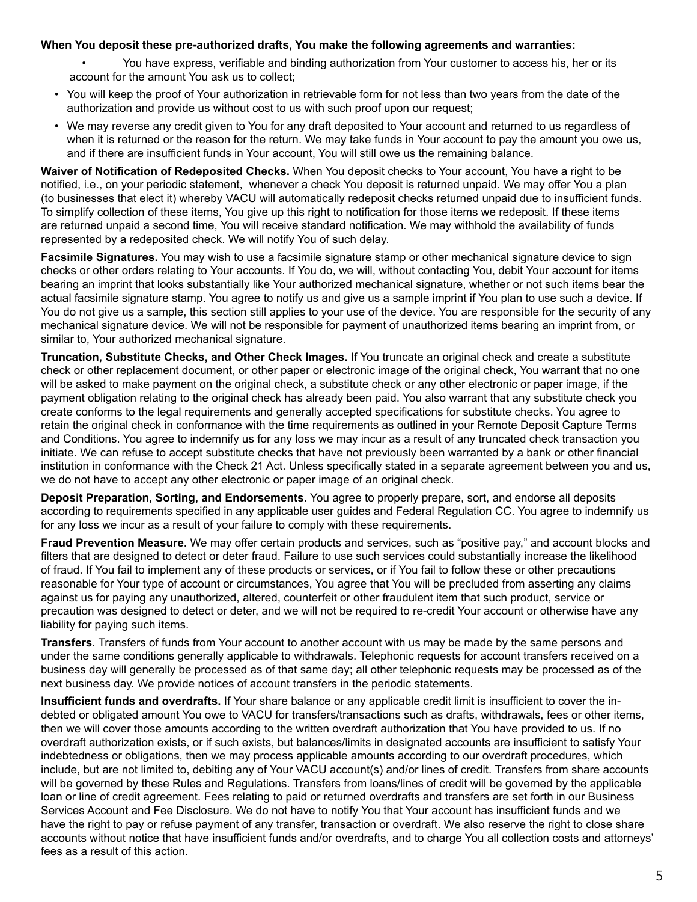## **When You deposit these pre-authorized drafts, You make the following agreements and warranties:**

- You have express, verifiable and binding authorization from Your customer to access his, her or its account for the amount You ask us to collect;
- You will keep the proof of Your authorization in retrievable form for not less than two years from the date of the authorization and provide us without cost to us with such proof upon our request;
- We may reverse any credit given to You for any draft deposited to Your account and returned to us regardless of when it is returned or the reason for the return. We may take funds in Your account to pay the amount you owe us, and if there are insufficient funds in Your account, You will still owe us the remaining balance.

**Waiver of Notification of Redeposited Checks.** When You deposit checks to Your account, You have a right to be notified, i.e., on your periodic statement, whenever a check You deposit is returned unpaid. We may offer You a plan (to businesses that elect it) whereby VACU will automatically redeposit checks returned unpaid due to insufficient funds. To simplify collection of these items, You give up this right to notification for those items we redeposit. If these items are returned unpaid a second time, You will receive standard notification. We may withhold the availability of funds represented by a redeposited check. We will notify You of such delay.

**Facsimile Signatures.** You may wish to use a facsimile signature stamp or other mechanical signature device to sign checks or other orders relating to Your accounts. If You do, we will, without contacting You, debit Your account for items bearing an imprint that looks substantially like Your authorized mechanical signature, whether or not such items bear the actual facsimile signature stamp. You agree to notify us and give us a sample imprint if You plan to use such a device. If You do not give us a sample, this section still applies to your use of the device. You are responsible for the security of any mechanical signature device. We will not be responsible for payment of unauthorized items bearing an imprint from, or similar to, Your authorized mechanical signature.

**Truncation, Substitute Checks, and Other Check Images.** If You truncate an original check and create a substitute check or other replacement document, or other paper or electronic image of the original check, You warrant that no one will be asked to make payment on the original check, a substitute check or any other electronic or paper image, if the payment obligation relating to the original check has already been paid. You also warrant that any substitute check you create conforms to the legal requirements and generally accepted specifications for substitute checks. You agree to retain the original check in conformance with the time requirements as outlined in your Remote Deposit Capture Terms and Conditions. You agree to indemnify us for any loss we may incur as a result of any truncated check transaction you initiate. We can refuse to accept substitute checks that have not previously been warranted by a bank or other financial institution in conformance with the Check 21 Act. Unless specifically stated in a separate agreement between you and us, we do not have to accept any other electronic or paper image of an original check.

**Deposit Preparation, Sorting, and Endorsements.** You agree to properly prepare, sort, and endorse all deposits according to requirements specified in any applicable user guides and Federal Regulation CC. You agree to indemnify us for any loss we incur as a result of your failure to comply with these requirements.

**Fraud Prevention Measure.** We may offer certain products and services, such as "positive pay," and account blocks and filters that are designed to detect or deter fraud. Failure to use such services could substantially increase the likelihood of fraud. If You fail to implement any of these products or services, or if You fail to follow these or other precautions reasonable for Your type of account or circumstances, You agree that You will be precluded from asserting any claims against us for paying any unauthorized, altered, counterfeit or other fraudulent item that such product, service or precaution was designed to detect or deter, and we will not be required to re-credit Your account or otherwise have any liability for paying such items.

**Transfers**. Transfers of funds from Your account to another account with us may be made by the same persons and under the same conditions generally applicable to withdrawals. Telephonic requests for account transfers received on a business day will generally be processed as of that same day; all other telephonic requests may be processed as of the next business day. We provide notices of account transfers in the periodic statements.

**Insufficient funds and overdrafts.** If Your share balance or any applicable credit limit is insufficient to cover the indebted or obligated amount You owe to VACU for transfers/transactions such as drafts, withdrawals, fees or other items, then we will cover those amounts according to the written overdraft authorization that You have provided to us. If no overdraft authorization exists, or if such exists, but balances/limits in designated accounts are insufficient to satisfy Your indebtedness or obligations, then we may process applicable amounts according to our overdraft procedures, which include, but are not limited to, debiting any of Your VACU account(s) and/or lines of credit. Transfers from share accounts will be governed by these Rules and Regulations. Transfers from loans/lines of credit will be governed by the applicable loan or line of credit agreement. Fees relating to paid or returned overdrafts and transfers are set forth in our Business Services Account and Fee Disclosure. We do not have to notify You that Your account has insufficient funds and we have the right to pay or refuse payment of any transfer, transaction or overdraft. We also reserve the right to close share accounts without notice that have insufficient funds and/or overdrafts, and to charge You all collection costs and attorneys' fees as a result of this action.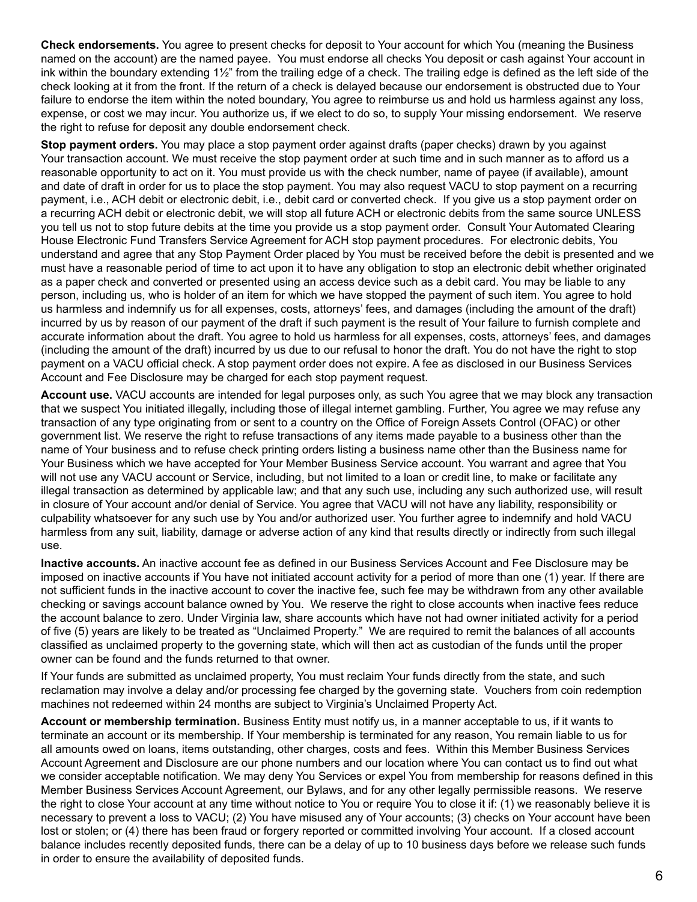**Check endorsements.** You agree to present checks for deposit to Your account for which You (meaning the Business named on the account) are the named payee. You must endorse all checks You deposit or cash against Your account in ink within the boundary extending 1½" from the trailing edge of a check. The trailing edge is defined as the left side of the check looking at it from the front. If the return of a check is delayed because our endorsement is obstructed due to Your failure to endorse the item within the noted boundary, You agree to reimburse us and hold us harmless against any loss, expense, or cost we may incur. You authorize us, if we elect to do so, to supply Your missing endorsement. We reserve the right to refuse for deposit any double endorsement check.

**Stop payment orders.** You may place a stop payment order against drafts (paper checks) drawn by you against Your transaction account. We must receive the stop payment order at such time and in such manner as to afford us a reasonable opportunity to act on it. You must provide us with the check number, name of payee (if available), amount and date of draft in order for us to place the stop payment. You may also request VACU to stop payment on a recurring payment, i.e., ACH debit or electronic debit, i.e., debit card or converted check. If you give us a stop payment order on a recurring ACH debit or electronic debit, we will stop all future ACH or electronic debits from the same source UNLESS you tell us not to stop future debits at the time you provide us a stop payment order. Consult Your Automated Clearing House Electronic Fund Transfers Service Agreement for ACH stop payment procedures. For electronic debits, You understand and agree that any Stop Payment Order placed by You must be received before the debit is presented and we must have a reasonable period of time to act upon it to have any obligation to stop an electronic debit whether originated as a paper check and converted or presented using an access device such as a debit card. You may be liable to any person, including us, who is holder of an item for which we have stopped the payment of such item. You agree to hold us harmless and indemnify us for all expenses, costs, attorneys' fees, and damages (including the amount of the draft) incurred by us by reason of our payment of the draft if such payment is the result of Your failure to furnish complete and accurate information about the draft. You agree to hold us harmless for all expenses, costs, attorneys' fees, and damages (including the amount of the draft) incurred by us due to our refusal to honor the draft. You do not have the right to stop payment on a VACU official check. A stop payment order does not expire. A fee as disclosed in our Business Services Account and Fee Disclosure may be charged for each stop payment request.

**Account use.** VACU accounts are intended for legal purposes only, as such You agree that we may block any transaction that we suspect You initiated illegally, including those of illegal internet gambling. Further, You agree we may refuse any transaction of any type originating from or sent to a country on the Office of Foreign Assets Control (OFAC) or other government list. We reserve the right to refuse transactions of any items made payable to a business other than the name of Your business and to refuse check printing orders listing a business name other than the Business name for Your Business which we have accepted for Your Member Business Service account. You warrant and agree that You will not use any VACU account or Service, including, but not limited to a loan or credit line, to make or facilitate any illegal transaction as determined by applicable law; and that any such use, including any such authorized use, will result in closure of Your account and/or denial of Service. You agree that VACU will not have any liability, responsibility or culpability whatsoever for any such use by You and/or authorized user. You further agree to indemnify and hold VACU harmless from any suit, liability, damage or adverse action of any kind that results directly or indirectly from such illegal use.

**Inactive accounts.** An inactive account fee as defined in our Business Services Account and Fee Disclosure may be imposed on inactive accounts if You have not initiated account activity for a period of more than one (1) year. If there are not sufficient funds in the inactive account to cover the inactive fee, such fee may be withdrawn from any other available checking or savings account balance owned by You. We reserve the right to close accounts when inactive fees reduce the account balance to zero. Under Virginia law, share accounts which have not had owner initiated activity for a period of five (5) years are likely to be treated as "Unclaimed Property." We are required to remit the balances of all accounts classified as unclaimed property to the governing state, which will then act as custodian of the funds until the proper owner can be found and the funds returned to that owner.

If Your funds are submitted as unclaimed property, You must reclaim Your funds directly from the state, and such reclamation may involve a delay and/or processing fee charged by the governing state. Vouchers from coin redemption machines not redeemed within 24 months are subject to Virginia's Unclaimed Property Act.

**Account or membership termination.** Business Entity must notify us, in a manner acceptable to us, if it wants to terminate an account or its membership. If Your membership is terminated for any reason, You remain liable to us for all amounts owed on loans, items outstanding, other charges, costs and fees. Within this Member Business Services Account Agreement and Disclosure are our phone numbers and our location where You can contact us to find out what we consider acceptable notification. We may deny You Services or expel You from membership for reasons defined in this Member Business Services Account Agreement, our Bylaws, and for any other legally permissible reasons. We reserve the right to close Your account at any time without notice to You or require You to close it if: (1) we reasonably believe it is necessary to prevent a loss to VACU; (2) You have misused any of Your accounts; (3) checks on Your account have been lost or stolen; or (4) there has been fraud or forgery reported or committed involving Your account. If a closed account balance includes recently deposited funds, there can be a delay of up to 10 business days before we release such funds in order to ensure the availability of deposited funds.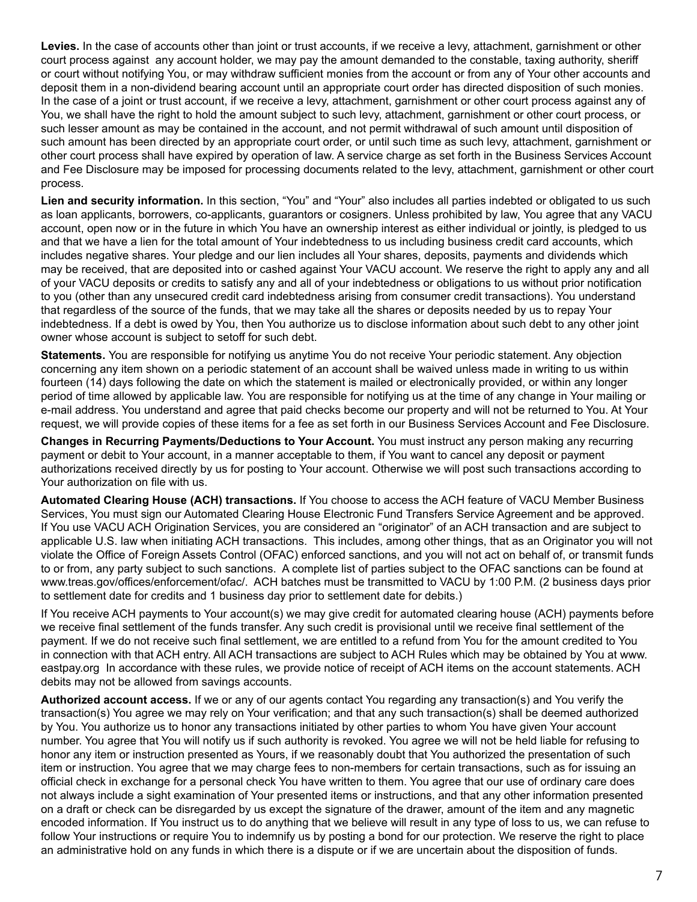**Levies.** In the case of accounts other than joint or trust accounts, if we receive a levy, attachment, garnishment or other court process against any account holder, we may pay the amount demanded to the constable, taxing authority, sheriff or court without notifying You, or may withdraw sufficient monies from the account or from any of Your other accounts and deposit them in a non-dividend bearing account until an appropriate court order has directed disposition of such monies. In the case of a joint or trust account, if we receive a levy, attachment, garnishment or other court process against any of You, we shall have the right to hold the amount subject to such levy, attachment, garnishment or other court process, or such lesser amount as may be contained in the account, and not permit withdrawal of such amount until disposition of such amount has been directed by an appropriate court order, or until such time as such levy, attachment, garnishment or other court process shall have expired by operation of law. A service charge as set forth in the Business Services Account and Fee Disclosure may be imposed for processing documents related to the levy, attachment, garnishment or other court process.

**Lien and security information.** In this section, "You" and "Your" also includes all parties indebted or obligated to us such as loan applicants, borrowers, co-applicants, guarantors or cosigners. Unless prohibited by law, You agree that any VACU account, open now or in the future in which You have an ownership interest as either individual or jointly, is pledged to us and that we have a lien for the total amount of Your indebtedness to us including business credit card accounts, which includes negative shares. Your pledge and our lien includes all Your shares, deposits, payments and dividends which may be received, that are deposited into or cashed against Your VACU account. We reserve the right to apply any and all of your VACU deposits or credits to satisfy any and all of your indebtedness or obligations to us without prior notification to you (other than any unsecured credit card indebtedness arising from consumer credit transactions). You understand that regardless of the source of the funds, that we may take all the shares or deposits needed by us to repay Your indebtedness. If a debt is owed by You, then You authorize us to disclose information about such debt to any other joint owner whose account is subject to setoff for such debt.

**Statements.** You are responsible for notifying us anytime You do not receive Your periodic statement. Any objection concerning any item shown on a periodic statement of an account shall be waived unless made in writing to us within fourteen (14) days following the date on which the statement is mailed or electronically provided, or within any longer period of time allowed by applicable law. You are responsible for notifying us at the time of any change in Your mailing or e-mail address. You understand and agree that paid checks become our property and will not be returned to You. At Your request, we will provide copies of these items for a fee as set forth in our Business Services Account and Fee Disclosure.

**Changes in Recurring Payments/Deductions to Your Account.** You must instruct any person making any recurring payment or debit to Your account, in a manner acceptable to them, if You want to cancel any deposit or payment authorizations received directly by us for posting to Your account. Otherwise we will post such transactions according to Your authorization on file with us.

**Automated Clearing House (ACH) transactions.** If You choose to access the ACH feature of VACU Member Business Services, You must sign our Automated Clearing House Electronic Fund Transfers Service Agreement and be approved. If You use VACU ACH Origination Services, you are considered an "originator" of an ACH transaction and are subject to applicable U.S. law when initiating ACH transactions. This includes, among other things, that as an Originator you will not violate the Office of Foreign Assets Control (OFAC) enforced sanctions, and you will not act on behalf of, or transmit funds to or from, any party subject to such sanctions. A complete list of parties subject to the OFAC sanctions can be found at www.treas.gov/offices/enforcement/ofac/. ACH batches must be transmitted to VACU by 1:00 P.M. (2 business days prior to settlement date for credits and 1 business day prior to settlement date for debits.)

If You receive ACH payments to Your account(s) we may give credit for automated clearing house (ACH) payments before we receive final settlement of the funds transfer. Any such credit is provisional until we receive final settlement of the payment. If we do not receive such final settlement, we are entitled to a refund from You for the amount credited to You in connection with that ACH entry. All ACH transactions are subject to ACH Rules which may be obtained by You at www. eastpay.org In accordance with these rules, we provide notice of receipt of ACH items on the account statements. ACH debits may not be allowed from savings accounts.

**Authorized account access.** If we or any of our agents contact You regarding any transaction(s) and You verify the transaction(s) You agree we may rely on Your verification; and that any such transaction(s) shall be deemed authorized by You. You authorize us to honor any transactions initiated by other parties to whom You have given Your account number. You agree that You will notify us if such authority is revoked. You agree we will not be held liable for refusing to honor any item or instruction presented as Yours, if we reasonably doubt that You authorized the presentation of such item or instruction. You agree that we may charge fees to non-members for certain transactions, such as for issuing an official check in exchange for a personal check You have written to them. You agree that our use of ordinary care does not always include a sight examination of Your presented items or instructions, and that any other information presented on a draft or check can be disregarded by us except the signature of the drawer, amount of the item and any magnetic encoded information. If You instruct us to do anything that we believe will result in any type of loss to us, we can refuse to follow Your instructions or require You to indemnify us by posting a bond for our protection. We reserve the right to place an administrative hold on any funds in which there is a dispute or if we are uncertain about the disposition of funds.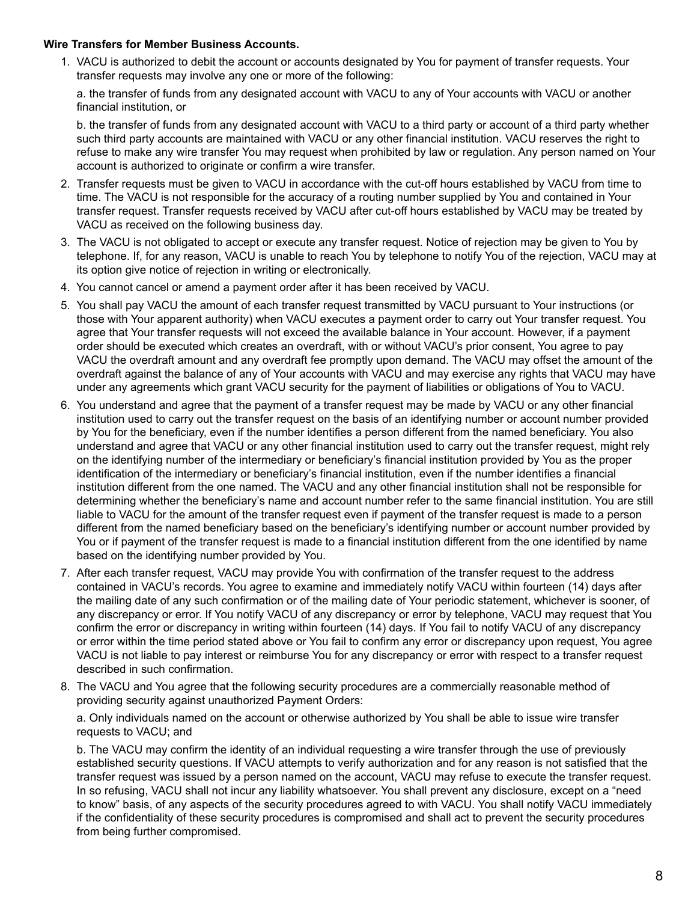## **Wire Transfers for Member Business Accounts.**

1. VACU is authorized to debit the account or accounts designated by You for payment of transfer requests. Your transfer requests may involve any one or more of the following:

a. the transfer of funds from any designated account with VACU to any of Your accounts with VACU or another financial institution, or

b. the transfer of funds from any designated account with VACU to a third party or account of a third party whether such third party accounts are maintained with VACU or any other financial institution. VACU reserves the right to refuse to make any wire transfer You may request when prohibited by law or regulation. Any person named on Your account is authorized to originate or confirm a wire transfer.

- 2. Transfer requests must be given to VACU in accordance with the cut-off hours established by VACU from time to time. The VACU is not responsible for the accuracy of a routing number supplied by You and contained in Your transfer request. Transfer requests received by VACU after cut-off hours established by VACU may be treated by VACU as received on the following business day.
- 3. The VACU is not obligated to accept or execute any transfer request. Notice of rejection may be given to You by telephone. If, for any reason, VACU is unable to reach You by telephone to notify You of the rejection, VACU may at its option give notice of rejection in writing or electronically.
- 4. You cannot cancel or amend a payment order after it has been received by VACU.
- 5. You shall pay VACU the amount of each transfer request transmitted by VACU pursuant to Your instructions (or those with Your apparent authority) when VACU executes a payment order to carry out Your transfer request. You agree that Your transfer requests will not exceed the available balance in Your account. However, if a payment order should be executed which creates an overdraft, with or without VACU's prior consent, You agree to pay VACU the overdraft amount and any overdraft fee promptly upon demand. The VACU may offset the amount of the overdraft against the balance of any of Your accounts with VACU and may exercise any rights that VACU may have under any agreements which grant VACU security for the payment of liabilities or obligations of You to VACU.
- 6. You understand and agree that the payment of a transfer request may be made by VACU or any other financial institution used to carry out the transfer request on the basis of an identifying number or account number provided by You for the beneficiary, even if the number identifies a person different from the named beneficiary. You also understand and agree that VACU or any other financial institution used to carry out the transfer request, might rely on the identifying number of the intermediary or beneficiary's financial institution provided by You as the proper identification of the intermediary or beneficiary's financial institution, even if the number identifies a financial institution different from the one named. The VACU and any other financial institution shall not be responsible for determining whether the beneficiary's name and account number refer to the same financial institution. You are still liable to VACU for the amount of the transfer request even if payment of the transfer request is made to a person different from the named beneficiary based on the beneficiary's identifying number or account number provided by You or if payment of the transfer request is made to a financial institution different from the one identified by name based on the identifying number provided by You.
- 7. After each transfer request, VACU may provide You with confirmation of the transfer request to the address contained in VACU's records. You agree to examine and immediately notify VACU within fourteen (14) days after the mailing date of any such confirmation or of the mailing date of Your periodic statement, whichever is sooner, of any discrepancy or error. If You notify VACU of any discrepancy or error by telephone, VACU may request that You confirm the error or discrepancy in writing within fourteen (14) days. If You fail to notify VACU of any discrepancy or error within the time period stated above or You fail to confirm any error or discrepancy upon request, You agree VACU is not liable to pay interest or reimburse You for any discrepancy or error with respect to a transfer request described in such confirmation.
- 8. The VACU and You agree that the following security procedures are a commercially reasonable method of providing security against unauthorized Payment Orders:

a. Only individuals named on the account or otherwise authorized by You shall be able to issue wire transfer requests to VACU; and

b. The VACU may confirm the identity of an individual requesting a wire transfer through the use of previously established security questions. If VACU attempts to verify authorization and for any reason is not satisfied that the transfer request was issued by a person named on the account, VACU may refuse to execute the transfer request. In so refusing, VACU shall not incur any liability whatsoever. You shall prevent any disclosure, except on a "need to know" basis, of any aspects of the security procedures agreed to with VACU. You shall notify VACU immediately if the confidentiality of these security procedures is compromised and shall act to prevent the security procedures from being further compromised.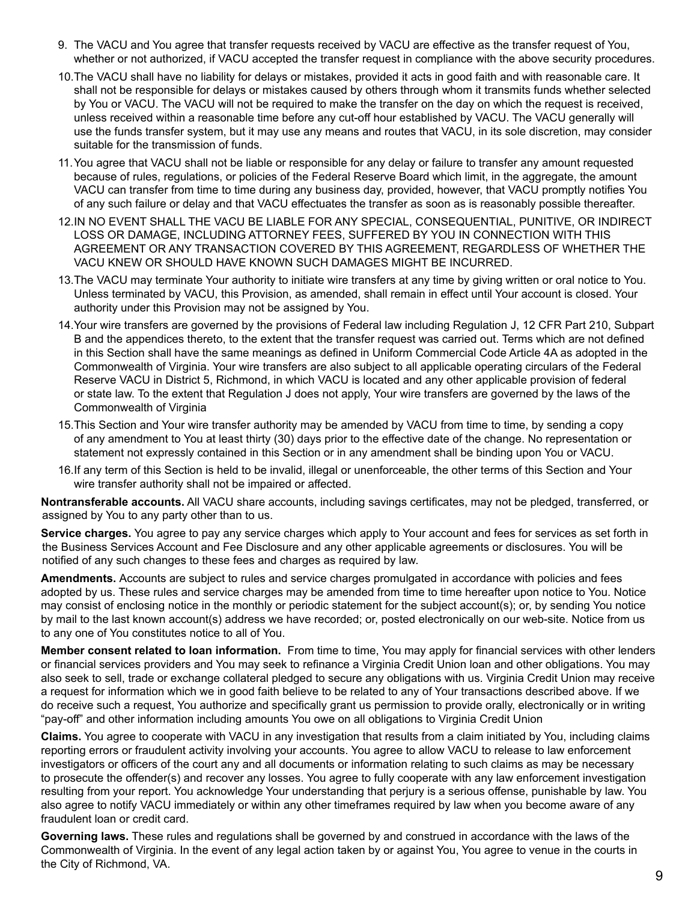- 9. The VACU and You agree that transfer requests received by VACU are effective as the transfer request of You, whether or not authorized, if VACU accepted the transfer request in compliance with the above security procedures.
- 10.The VACU shall have no liability for delays or mistakes, provided it acts in good faith and with reasonable care. It shall not be responsible for delays or mistakes caused by others through whom it transmits funds whether selected by You or VACU. The VACU will not be required to make the transfer on the day on which the request is received, unless received within a reasonable time before any cut-off hour established by VACU. The VACU generally will use the funds transfer system, but it may use any means and routes that VACU, in its sole discretion, may consider suitable for the transmission of funds.
- 11.You agree that VACU shall not be liable or responsible for any delay or failure to transfer any amount requested because of rules, regulations, or policies of the Federal Reserve Board which limit, in the aggregate, the amount VACU can transfer from time to time during any business day, provided, however, that VACU promptly notifies You of any such failure or delay and that VACU effectuates the transfer as soon as is reasonably possible thereafter.
- 12.IN NO EVENT SHALL THE VACU BE LIABLE FOR ANY SPECIAL, CONSEQUENTIAL, PUNITIVE, OR INDIRECT LOSS OR DAMAGE, INCLUDING ATTORNEY FEES, SUFFERED BY YOU IN CONNECTION WITH THIS AGREEMENT OR ANY TRANSACTION COVERED BY THIS AGREEMENT, REGARDLESS OF WHETHER THE VACU KNEW OR SHOULD HAVE KNOWN SUCH DAMAGES MIGHT BE INCURRED.
- 13.The VACU may terminate Your authority to initiate wire transfers at any time by giving written or oral notice to You. Unless terminated by VACU, this Provision, as amended, shall remain in effect until Your account is closed. Your authority under this Provision may not be assigned by You.
- 14.Your wire transfers are governed by the provisions of Federal law including Regulation J, 12 CFR Part 210, Subpart B and the appendices thereto, to the extent that the transfer request was carried out. Terms which are not defined in this Section shall have the same meanings as defined in Uniform Commercial Code Article 4A as adopted in the Commonwealth of Virginia. Your wire transfers are also subject to all applicable operating circulars of the Federal Reserve VACU in District 5, Richmond, in which VACU is located and any other applicable provision of federal or state law. To the extent that Regulation J does not apply, Your wire transfers are governed by the laws of the Commonwealth of Virginia
- 15.This Section and Your wire transfer authority may be amended by VACU from time to time, by sending a copy of any amendment to You at least thirty (30) days prior to the effective date of the change. No representation or statement not expressly contained in this Section or in any amendment shall be binding upon You or VACU.
- 16.If any term of this Section is held to be invalid, illegal or unenforceable, the other terms of this Section and Your wire transfer authority shall not be impaired or affected.

**Nontransferable accounts.** All VACU share accounts, including savings certificates, may not be pledged, transferred, or assigned by You to any party other than to us.

**Service charges.** You agree to pay any service charges which apply to Your account and fees for services as set forth in the Business Services Account and Fee Disclosure and any other applicable agreements or disclosures. You will be notified of any such changes to these fees and charges as required by law.

**Amendments.** Accounts are subject to rules and service charges promulgated in accordance with policies and fees adopted by us. These rules and service charges may be amended from time to time hereafter upon notice to You. Notice may consist of enclosing notice in the monthly or periodic statement for the subject account(s); or, by sending You notice by mail to the last known account(s) address we have recorded; or, posted electronically on our web-site. Notice from us to any one of You constitutes notice to all of You.

**Member consent related to loan information.** From time to time, You may apply for financial services with other lenders or financial services providers and You may seek to refinance a Virginia Credit Union loan and other obligations. You may also seek to sell, trade or exchange collateral pledged to secure any obligations with us. Virginia Credit Union may receive a request for information which we in good faith believe to be related to any of Your transactions described above. If we do receive such a request, You authorize and specifically grant us permission to provide orally, electronically or in writing "pay-off" and other information including amounts You owe on all obligations to Virginia Credit Union

**Claims.** You agree to cooperate with VACU in any investigation that results from a claim initiated by You, including claims reporting errors or fraudulent activity involving your accounts. You agree to allow VACU to release to law enforcement investigators or officers of the court any and all documents or information relating to such claims as may be necessary to prosecute the offender(s) and recover any losses. You agree to fully cooperate with any law enforcement investigation resulting from your report. You acknowledge Your understanding that perjury is a serious offense, punishable by law. You also agree to notify VACU immediately or within any other timeframes required by law when you become aware of any fraudulent loan or credit card.

**Governing laws.** These rules and regulations shall be governed by and construed in accordance with the laws of the Commonwealth of Virginia. In the event of any legal action taken by or against You, You agree to venue in the courts in the City of Richmond, VA.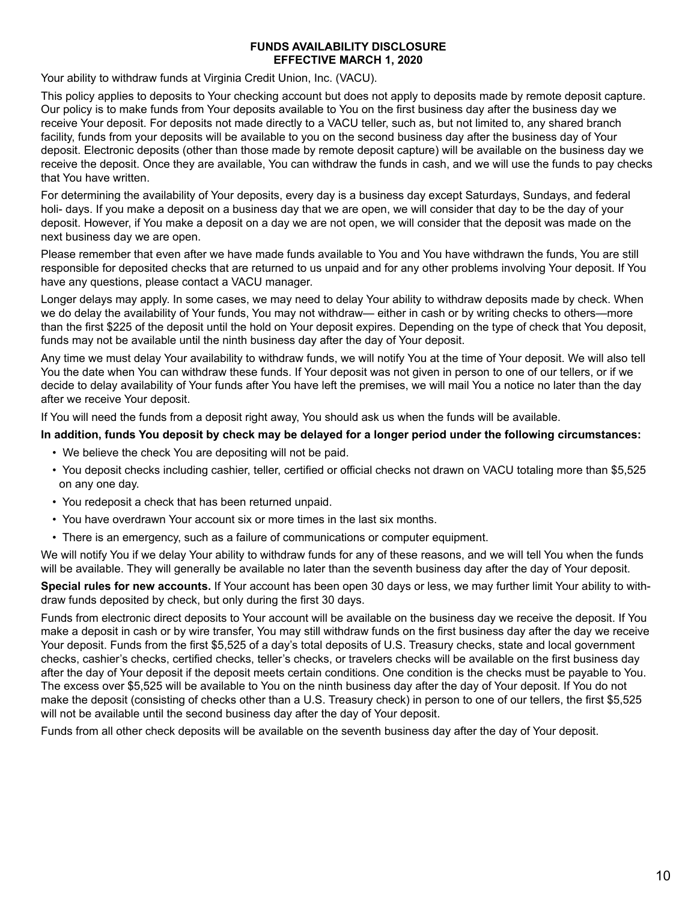# **FUNDS AVAILABILITY DISCLOSURE EFFECTIVE MARCH 1, 2020**

Your ability to withdraw funds at Virginia Credit Union, Inc. (VACU).

This policy applies to deposits to Your checking account but does not apply to deposits made by remote deposit capture. Our policy is to make funds from Your deposits available to You on the first business day after the business day we receive Your deposit. For deposits not made directly to a VACU teller, such as, but not limited to, any shared branch facility, funds from your deposits will be available to you on the second business day after the business day of Your deposit. Electronic deposits (other than those made by remote deposit capture) will be available on the business day we receive the deposit. Once they are available, You can withdraw the funds in cash, and we will use the funds to pay checks that You have written.

For determining the availability of Your deposits, every day is a business day except Saturdays, Sundays, and federal holi- days. If you make a deposit on a business day that we are open, we will consider that day to be the day of your deposit. However, if You make a deposit on a day we are not open, we will consider that the deposit was made on the next business day we are open.

Please remember that even after we have made funds available to You and You have withdrawn the funds, You are still responsible for deposited checks that are returned to us unpaid and for any other problems involving Your deposit. If You have any questions, please contact a VACU manager.

Longer delays may apply. In some cases, we may need to delay Your ability to withdraw deposits made by check. When we do delay the availability of Your funds, You may not withdraw— either in cash or by writing checks to others—more than the first \$225 of the deposit until the hold on Your deposit expires. Depending on the type of check that You deposit, funds may not be available until the ninth business day after the day of Your deposit.

Any time we must delay Your availability to withdraw funds, we will notify You at the time of Your deposit. We will also tell You the date when You can withdraw these funds. If Your deposit was not given in person to one of our tellers, or if we decide to delay availability of Your funds after You have left the premises, we will mail You a notice no later than the day after we receive Your deposit.

If You will need the funds from a deposit right away, You should ask us when the funds will be available.

# **In addition, funds You deposit by check may be delayed for a longer period under the following circumstances:**

- We believe the check You are depositing will not be paid.
- You deposit checks including cashier, teller, certified or official checks not drawn on VACU totaling more than \$5,525 on any one day.
- You redeposit a check that has been returned unpaid.
- You have overdrawn Your account six or more times in the last six months.
- There is an emergency, such as a failure of communications or computer equipment.

We will notify You if we delay Your ability to withdraw funds for any of these reasons, and we will tell You when the funds will be available. They will generally be available no later than the seventh business day after the day of Your deposit.

**Special rules for new accounts.** If Your account has been open 30 days or less, we may further limit Your ability to withdraw funds deposited by check, but only during the first 30 days.

Funds from electronic direct deposits to Your account will be available on the business day we receive the deposit. If You make a deposit in cash or by wire transfer, You may still withdraw funds on the first business day after the day we receive Your deposit. Funds from the first \$5,525 of a day's total deposits of U.S. Treasury checks, state and local government checks, cashier's checks, certified checks, teller's checks, or travelers checks will be available on the first business day after the day of Your deposit if the deposit meets certain conditions. One condition is the checks must be payable to You. The excess over \$5,525 will be available to You on the ninth business day after the day of Your deposit. If You do not make the deposit (consisting of checks other than a U.S. Treasury check) in person to one of our tellers, the first \$5,525 will not be available until the second business day after the day of Your deposit.

Funds from all other check deposits will be available on the seventh business day after the day of Your deposit.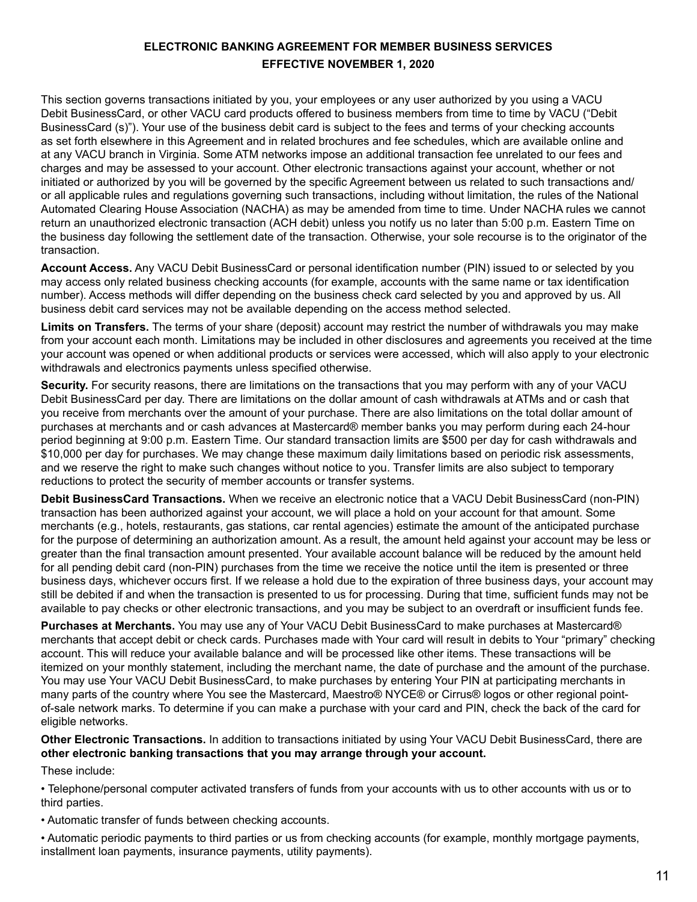# **ELECTRONIC BANKING AGREEMENT FOR MEMBER BUSINESS SERVICES EFFECTIVE NOVEMBER 1, 2020**

This section governs transactions initiated by you, your employees or any user authorized by you using a VACU Debit BusinessCard, or other VACU card products offered to business members from time to time by VACU ("Debit BusinessCard (s)"). Your use of the business debit card is subject to the fees and terms of your checking accounts as set forth elsewhere in this Agreement and in related brochures and fee schedules, which are available online and at any VACU branch in Virginia. Some ATM networks impose an additional transaction fee unrelated to our fees and charges and may be assessed to your account. Other electronic transactions against your account, whether or not initiated or authorized by you will be governed by the specific Agreement between us related to such transactions and/ or all applicable rules and regulations governing such transactions, including without limitation, the rules of the National Automated Clearing House Association (NACHA) as may be amended from time to time. Under NACHA rules we cannot return an unauthorized electronic transaction (ACH debit) unless you notify us no later than 5:00 p.m. Eastern Time on the business day following the settlement date of the transaction. Otherwise, your sole recourse is to the originator of the transaction.

**Account Access.** Any VACU Debit BusinessCard or personal identification number (PIN) issued to or selected by you may access only related business checking accounts (for example, accounts with the same name or tax identification number). Access methods will differ depending on the business check card selected by you and approved by us. All business debit card services may not be available depending on the access method selected.

**Limits on Transfers.** The terms of your share (deposit) account may restrict the number of withdrawals you may make from your account each month. Limitations may be included in other disclosures and agreements you received at the time your account was opened or when additional products or services were accessed, which will also apply to your electronic withdrawals and electronics payments unless specified otherwise.

**Security.** For security reasons, there are limitations on the transactions that you may perform with any of your VACU Debit BusinessCard per day. There are limitations on the dollar amount of cash withdrawals at ATMs and or cash that you receive from merchants over the amount of your purchase. There are also limitations on the total dollar amount of purchases at merchants and or cash advances at Mastercard® member banks you may perform during each 24-hour period beginning at 9:00 p.m. Eastern Time. Our standard transaction limits are \$500 per day for cash withdrawals and \$10,000 per day for purchases. We may change these maximum daily limitations based on periodic risk assessments, and we reserve the right to make such changes without notice to you. Transfer limits are also subject to temporary reductions to protect the security of member accounts or transfer systems.

**Debit BusinessCard Transactions.** When we receive an electronic notice that a VACU Debit BusinessCard (non-PIN) transaction has been authorized against your account, we will place a hold on your account for that amount. Some merchants (e.g., hotels, restaurants, gas stations, car rental agencies) estimate the amount of the anticipated purchase for the purpose of determining an authorization amount. As a result, the amount held against your account may be less or greater than the final transaction amount presented. Your available account balance will be reduced by the amount held for all pending debit card (non-PIN) purchases from the time we receive the notice until the item is presented or three business days, whichever occurs first. If we release a hold due to the expiration of three business days, your account may still be debited if and when the transaction is presented to us for processing. During that time, sufficient funds may not be available to pay checks or other electronic transactions, and you may be subject to an overdraft or insufficient funds fee.

**Purchases at Merchants.** You may use any of Your VACU Debit BusinessCard to make purchases at Mastercard® merchants that accept debit or check cards. Purchases made with Your card will result in debits to Your "primary" checking account. This will reduce your available balance and will be processed like other items. These transactions will be itemized on your monthly statement, including the merchant name, the date of purchase and the amount of the purchase. You may use Your VACU Debit BusinessCard, to make purchases by entering Your PIN at participating merchants in many parts of the country where You see the Mastercard, Maestro® NYCE® or Cirrus® logos or other regional pointof-sale network marks. To determine if you can make a purchase with your card and PIN, check the back of the card for eligible networks.

**Other Electronic Transactions.** In addition to transactions initiated by using Your VACU Debit BusinessCard, there are **other electronic banking transactions that you may arrange through your account.** 

These include:

• Telephone/personal computer activated transfers of funds from your accounts with us to other accounts with us or to third parties.

• Automatic transfer of funds between checking accounts.

• Automatic periodic payments to third parties or us from checking accounts (for example, monthly mortgage payments, installment loan payments, insurance payments, utility payments).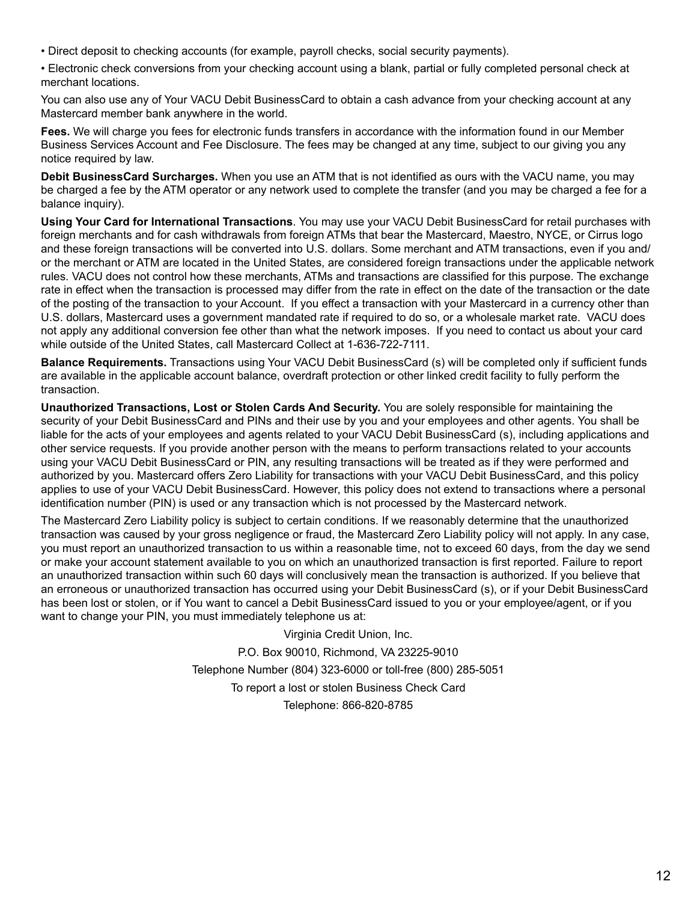- Direct deposit to checking accounts (for example, payroll checks, social security payments).
- Electronic check conversions from your checking account using a blank, partial or fully completed personal check at merchant locations.

You can also use any of Your VACU Debit BusinessCard to obtain a cash advance from your checking account at any Mastercard member bank anywhere in the world.

**Fees.** We will charge you fees for electronic funds transfers in accordance with the information found in our Member Business Services Account and Fee Disclosure. The fees may be changed at any time, subject to our giving you any notice required by law.

**Debit BusinessCard Surcharges.** When you use an ATM that is not identified as ours with the VACU name, you may be charged a fee by the ATM operator or any network used to complete the transfer (and you may be charged a fee for a balance inquiry).

**Using Your Card for International Transactions**. You may use your VACU Debit BusinessCard for retail purchases with foreign merchants and for cash withdrawals from foreign ATMs that bear the Mastercard, Maestro, NYCE, or Cirrus logo and these foreign transactions will be converted into U.S. dollars. Some merchant and ATM transactions, even if you and/ or the merchant or ATM are located in the United States, are considered foreign transactions under the applicable network rules. VACU does not control how these merchants, ATMs and transactions are classified for this purpose. The exchange rate in effect when the transaction is processed may differ from the rate in effect on the date of the transaction or the date of the posting of the transaction to your Account. If you effect a transaction with your Mastercard in a currency other than U.S. dollars, Mastercard uses a government mandated rate if required to do so, or a wholesale market rate. VACU does not apply any additional conversion fee other than what the network imposes. If you need to contact us about your card while outside of the United States, call Mastercard Collect at 1-636-722-7111.

**Balance Requirements.** Transactions using Your VACU Debit BusinessCard (s) will be completed only if sufficient funds are available in the applicable account balance, overdraft protection or other linked credit facility to fully perform the transaction.

**Unauthorized Transactions, Lost or Stolen Cards And Security.** You are solely responsible for maintaining the security of your Debit BusinessCard and PINs and their use by you and your employees and other agents. You shall be liable for the acts of your employees and agents related to your VACU Debit BusinessCard (s), including applications and other service requests. If you provide another person with the means to perform transactions related to your accounts using your VACU Debit BusinessCard or PIN, any resulting transactions will be treated as if they were performed and authorized by you. Mastercard offers Zero Liability for transactions with your VACU Debit BusinessCard, and this policy applies to use of your VACU Debit BusinessCard. However, this policy does not extend to transactions where a personal identification number (PIN) is used or any transaction which is not processed by the Mastercard network.

The Mastercard Zero Liability policy is subject to certain conditions. If we reasonably determine that the unauthorized transaction was caused by your gross negligence or fraud, the Mastercard Zero Liability policy will not apply. In any case, you must report an unauthorized transaction to us within a reasonable time, not to exceed 60 days, from the day we send or make your account statement available to you on which an unauthorized transaction is first reported. Failure to report an unauthorized transaction within such 60 days will conclusively mean the transaction is authorized. If you believe that an erroneous or unauthorized transaction has occurred using your Debit BusinessCard (s), or if your Debit BusinessCard has been lost or stolen, or if You want to cancel a Debit BusinessCard issued to you or your employee/agent, or if you want to change your PIN, you must immediately telephone us at:

> Virginia Credit Union, Inc. P.O. Box 90010, Richmond, VA 23225-9010 Telephone Number (804) 323-6000 or toll-free (800) 285-5051 To report a lost or stolen Business Check Card Telephone: 866-820-8785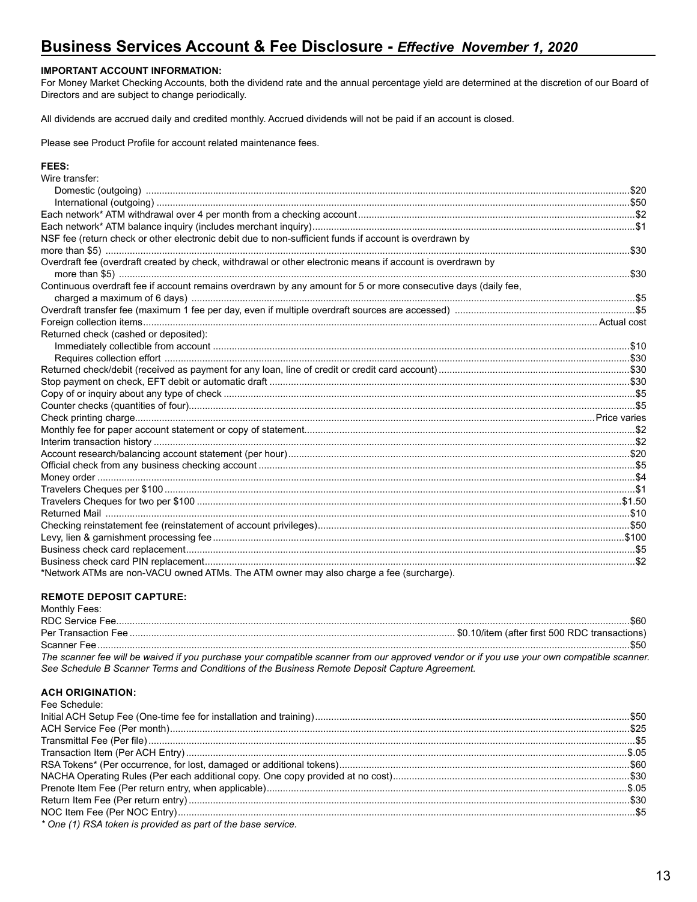# Business Services Account & Fee Disclosure - Effective November 1, 2020

### **IMPORTANT ACCOUNT INFORMATION:**

For Money Market Checking Accounts, both the dividend rate and the annual percentage yield are determined at the discretion of our Board of Directors and are subject to change periodically.

All dividends are accrued daily and credited monthly. Accrued dividends will not be paid if an account is closed.

Please see Product Profile for account related maintenance fees.

#### FEES:

| Wire transfer:                                                                                                 |  |
|----------------------------------------------------------------------------------------------------------------|--|
|                                                                                                                |  |
|                                                                                                                |  |
|                                                                                                                |  |
|                                                                                                                |  |
| NSF fee (return check or other electronic debit due to non-sufficient funds if account is overdrawn by         |  |
|                                                                                                                |  |
| Overdraft fee (overdraft created by check, withdrawal or other electronic means if account is overdrawn by     |  |
|                                                                                                                |  |
| Continuous overdraft fee if account remains overdrawn by any amount for 5 or more consecutive days (daily fee, |  |
|                                                                                                                |  |
|                                                                                                                |  |
|                                                                                                                |  |
| Returned check (cashed or deposited):                                                                          |  |
|                                                                                                                |  |
|                                                                                                                |  |
|                                                                                                                |  |
|                                                                                                                |  |
|                                                                                                                |  |
|                                                                                                                |  |
|                                                                                                                |  |
|                                                                                                                |  |
|                                                                                                                |  |
|                                                                                                                |  |
|                                                                                                                |  |
|                                                                                                                |  |
|                                                                                                                |  |
|                                                                                                                |  |
|                                                                                                                |  |
|                                                                                                                |  |
|                                                                                                                |  |
|                                                                                                                |  |
|                                                                                                                |  |
| *Network ATMs are non-VACU owned ATMs. The ATM owner may also charge a fee (surcharge).                        |  |

## **REMOTE DEPOSIT CAPTURE:**

## Monthly Fees: The scanner fee will be waived if you purchase your compatible scanner from our approved vendor or if you use your own compatible scanner. See Schedule B Scanner Terms and Conditions of the Business Remote Deposit Capture Agreement.

#### **ACH ORIGINATION:**

| <b>Fee Schedule:</b>                                         |  |
|--------------------------------------------------------------|--|
|                                                              |  |
|                                                              |  |
|                                                              |  |
|                                                              |  |
|                                                              |  |
|                                                              |  |
|                                                              |  |
|                                                              |  |
|                                                              |  |
| * One (1) RSA token is provided as part of the base service. |  |
|                                                              |  |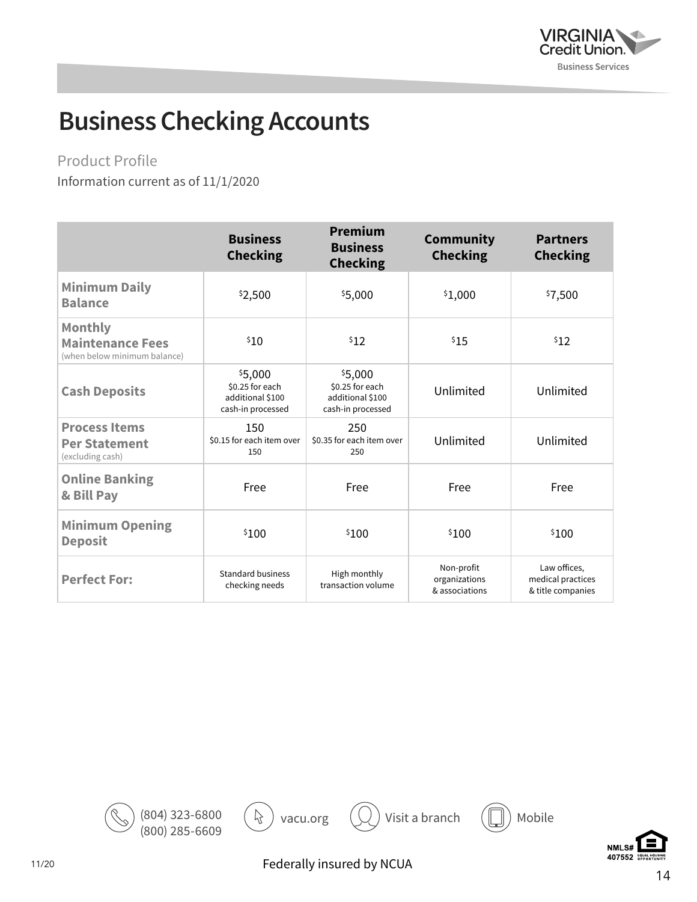

# **Business Checking Accounts**

Product Profile

Information current as of 11/1/2020

|                                                                           | <b>Business</b><br><b>Checking</b>                                  | <b>Premium</b><br><b>Business</b><br><b>Checking</b>                | <b>Community</b><br><b>Checking</b>           | <b>Partners</b><br><b>Checking</b>                     |
|---------------------------------------------------------------------------|---------------------------------------------------------------------|---------------------------------------------------------------------|-----------------------------------------------|--------------------------------------------------------|
| <b>Minimum Daily</b><br><b>Balance</b>                                    | \$2,500                                                             | \$5,000                                                             | \$1,000                                       | \$7,500                                                |
| <b>Monthly</b><br><b>Maintenance Fees</b><br>(when below minimum balance) | \$10                                                                | \$12                                                                | \$15                                          | \$12                                                   |
| <b>Cash Deposits</b>                                                      | \$5,000<br>\$0.25 for each<br>additional \$100<br>cash-in processed | \$5,000<br>\$0.25 for each<br>additional \$100<br>cash-in processed | Unlimited                                     | Unlimited                                              |
| <b>Process Items</b><br><b>Per Statement</b><br>(excluding cash)          | 150<br>\$0.15 for each item over<br>150                             | 250<br>\$0.35 for each item over<br>250                             | Unlimited                                     | Unlimited                                              |
| <b>Online Banking</b><br>& Bill Pay                                       | Free                                                                | Free                                                                | Free                                          | Free                                                   |
| <b>Minimum Opening</b><br><b>Deposit</b>                                  | \$100                                                               | \$100                                                               | \$100                                         | \$100                                                  |
| <b>Perfect For:</b>                                                       | <b>Standard business</b><br>checking needs                          | High monthly<br>transaction volume                                  | Non-profit<br>organizations<br>& associations | Law offices,<br>medical practices<br>& title companies |



Federally insured by NCUA







11/20